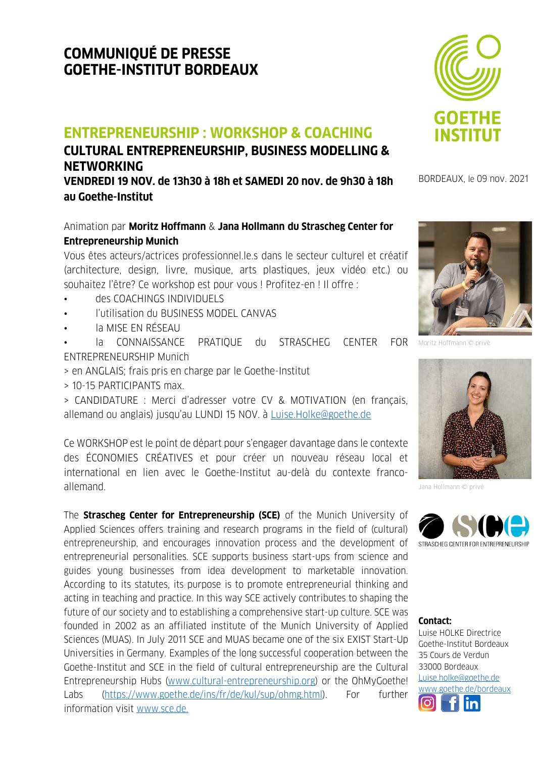# **COMMUNIQUÉ DE PRESSE GOETHE-INSTITUT BORDEAUX**

## **ENTREPRENEURSHIP : WORKSHOP & COACHING**

### **CULTURAL ENTREPRENEURSHIP, BUSINESS MODELLING & NETWORKING VENDREDI 19 NOV. de 13h30 à 18h et SAMEDI 20 nov. de 9h30 à 18h**

**au Goethe-Institut** 

#### Animation par **Moritz Hoffmann** & **Jana Hollmann du Strascheg Center for Entrepreneurship Munich**

Vous êtes acteurs/actrices professionnel.le.s dans le secteur culturel et créatif (architecture, design, livre, musique, arts plastiques, jeux vidéo etc.) ou souhaitez l'être? Ce workshop est pour vous ! Profitez-en ! Il offre :

- des COACHINGS INDIVIDUELS
- l'utilisation du BUSINESS MODEL CANVAS
- la MISE EN RÉSEAU
- la CONNAISSANCE PRATIQUE du STRASCHEG CENTER FOR Moritz-Hoffmann © privé ENTREPRENEURSHIP Munich
- > en ANGLAIS; frais pris en charge par le Goethe-Institut
- > 10-15 PARTICIPANTS max.

> CANDIDATURE : Merci d'adresser votre CV & MOTIVATION (en français, allemand ou anglais) jusqu'au LUNDI 15 NOV. à [Luise.Holke@goethe.de](mailto:Luise.Holke@goethe.de)

Ce WORKSHOP est le point de départ pour s'engager davantage dans le contexte des ÉCONOMIES CRÉATIVES et pour créer un nouveau réseau local et international en lien avec le Goethe-Institut au-delà du contexte francoallemand.

The **Strascheg Center for Entrepreneurship (SCE)** of the Munich University of Applied Sciences offers training and research programs in the field of (cultural) entrepreneurship, and encourages innovation process and the development of entrepreneurial personalities. SCE supports business start-ups from science and guides young businesses from idea development to marketable innovation. According to its statutes, its purpose is to promote entrepreneurial thinking and acting in teaching and practice. In this way SCE actively contributes to shaping the future of our society and to establishing a comprehensive start-up culture. SCE was founded in 2002 as an affiliated institute of the Munich University of Applied Sciences (MUAS). In July 2011 SCE and MUAS became one of the six EXIST Start-Up Universities in Germany. Examples of the long successful cooperation between the Goethe-Institut and SCE in the field of cultural entrepreneurship are the Cultural Entrepreneurship Hubs [\(www.cultural-entrepreneurship.org\)](http://www.cultural-entrepreneurship.org/) or the OhMyGoethe! Labs [\(https://www.goethe.de/ins/fr/de/kul/sup/ohmg.html\)](https://www.goethe.de/ins/fr/de/kul/sup/ohmg.html). For further information visit [www.sce.de.](http://www.sce.de/)



BORDEAUX, le 09 nov. 2021





Jana Hollmann © privé



#### **Contact:**

Luise HOLKE Directrice Goet[he-Inst](https://www.facebook.com/goetheinstitut.bordeaux)itut Bordeaux 35 Cours de Verdun 33000 Bordeaux [Luise.holke@goethe.de](mailto:Luise.holke@goethe.de) [www.goethe.de/bordeaux](http://www.goethe.de/bordeaux) Ļ